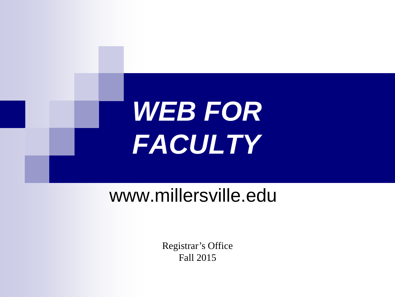

## www.millersville.edu

Registrar's Office Fall 2015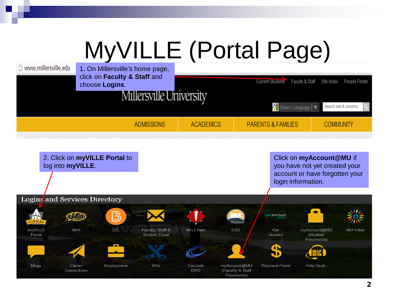# MyVILLE (Portal Page)

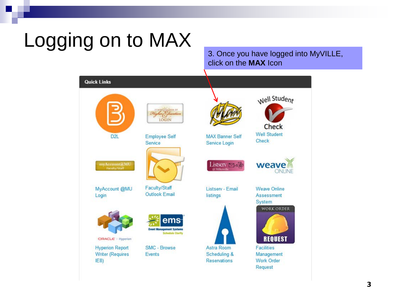# Logging on to MAX<br>3. Once you have logged into MyVILLE,

## click on the **MAX** Icon

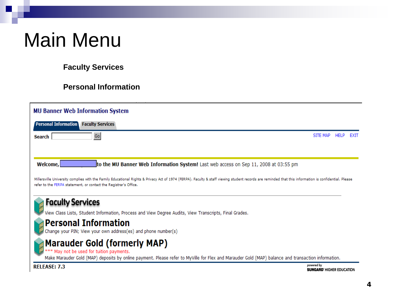# Main Menu

## **Faculty Services**

### **Personal Information**

| <b>MU Banner Web Information System</b>                                                                                                                                                                                                                                   |                                  |             |      |
|---------------------------------------------------------------------------------------------------------------------------------------------------------------------------------------------------------------------------------------------------------------------------|----------------------------------|-------------|------|
| ' Personal Information <b>'</b><br><b>Faculty Services</b>                                                                                                                                                                                                                |                                  |             |      |
| Go<br><b>Search</b>                                                                                                                                                                                                                                                       | SITE MAP                         | <b>HELP</b> | EXIT |
|                                                                                                                                                                                                                                                                           |                                  |             |      |
|                                                                                                                                                                                                                                                                           |                                  |             |      |
| Welcome,<br>to the MU Banner Web Information System! Last web access on Sep 11, 2008 at 03:55 pm                                                                                                                                                                          |                                  |             |      |
| Millersville University complies with the Family Educational Rights & Privacy Act of 1974 (FERPA). Faculty & staff viewing student records are reminded that this information is confidential. Please<br>refer to the FERPA statement, or contact the Registrar's Office. |                                  |             |      |
| <b>Faculty Services</b>                                                                                                                                                                                                                                                   |                                  |             |      |
| View Class Lists, Student Information, Process and View Degree Audits, View Transcripts, Final Grades.                                                                                                                                                                    |                                  |             |      |
|                                                                                                                                                                                                                                                                           |                                  |             |      |
| <b>Personal Information</b><br>Change your PIN; View your own address(es) and phone number(s)                                                                                                                                                                             |                                  |             |      |
|                                                                                                                                                                                                                                                                           |                                  |             |      |
| <b>Marauder Gold (formerly MAP)</b><br>*** May not be used for tuition payments.                                                                                                                                                                                          |                                  |             |      |
| Make Marauder Gold (MAP) deposits by online payment. Please refer to MyVille for Flex and Marauder Gold (MAP) balance and transaction information.                                                                                                                        |                                  |             |      |
| <b>RELEASE: 7.3</b>                                                                                                                                                                                                                                                       | powered by                       |             |      |
|                                                                                                                                                                                                                                                                           | <b>SUNGARD' HIGHER EDUCATION</b> |             |      |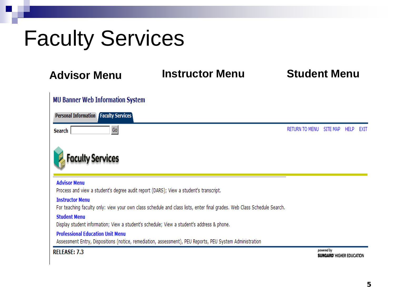# Faculty Services

## **Advisor Menu Instructor Menu Student Menu**

| <b>MU Banner Web Information System</b>                                                                                                             |                       |                                                |             |      |
|-----------------------------------------------------------------------------------------------------------------------------------------------------|-----------------------|------------------------------------------------|-------------|------|
| <b>Personal Information Faculty Services</b>                                                                                                        |                       |                                                |             |      |
| Go<br>Search                                                                                                                                        | <b>RETURN TO MENU</b> | SITE MAP                                       | <b>HELP</b> | EXIT |
| aculty Services                                                                                                                                     |                       |                                                |             |      |
| <b>Advisor Menu</b><br>Process and view a student's degree audit report (DARS); View a student's transcript.                                        |                       |                                                |             |      |
| <b>Instructor Menu</b><br>For teaching faculty only: view your own class schedule and class lists, enter final grades. Web Class Schedule Search.   |                       |                                                |             |      |
| <b>Student Menu</b><br>Display student information; View a student's schedule; View a student's address & phone.                                    |                       |                                                |             |      |
| <b>Professional Education Unit Menu</b><br>Assessment Entry, Dispositions (notice, remediation, assessment), PEU Reports, PEU System Administration |                       |                                                |             |      |
| <b>RELEASE: 7.3</b>                                                                                                                                 |                       | powered by<br><b>SUNGARD' HIGHER EDUCATION</b> |             |      |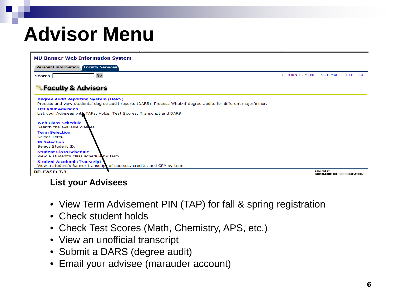# **Advisor Menu**

| <b>MU Banner Web Information System</b>                                                                                                                          |                       |                                                |             |             |
|------------------------------------------------------------------------------------------------------------------------------------------------------------------|-----------------------|------------------------------------------------|-------------|-------------|
| <b>Personal Information   Faculty Services</b>                                                                                                                   |                       |                                                |             |             |
| Go<br>Search                                                                                                                                                     | <b>RETURN TO MENU</b> | <b>SITE MAP</b>                                | <b>HELP</b> | <b>EXIT</b> |
| <b>Faculty &amp; Advisors</b>                                                                                                                                    |                       |                                                |             |             |
| <b>Degree Audit Reporting System (DARS).</b><br>Process and view students' degree audit reports (DARS). Process What-if degree audits for different major/minor. |                       |                                                |             |             |
| <b>List your Advisees</b><br>List your Advisees with TAPs, Holds, Test Scores, Transcript and DARS.                                                              |                       |                                                |             |             |
| <b>Web Class Schedule</b><br>Search the available classes.                                                                                                       |                       |                                                |             |             |
| <b>Term Selection</b><br>Select Term.                                                                                                                            |                       |                                                |             |             |
| <b>ID Selection</b><br>Select Student ID.                                                                                                                        |                       |                                                |             |             |
| <b>Student Class Schedule</b><br>View a student's class schedule by term.                                                                                        |                       |                                                |             |             |
| <b>Student Academic Transcript</b><br>View a student's Banner transcript of courses, credits, and GPA by term.                                                   |                       |                                                |             |             |
| <b>RELEASE: 7.3</b>                                                                                                                                              |                       | powered by<br><b>SUNGARD' HIGHER EDUCATION</b> |             |             |

## **List your Advisees**

- View Term Advisement PIN (TAP) for fall & spring registration
- Check student holds
- Check Test Scores (Math, Chemistry, APS, etc.)
- View an unofficial transcript
- Submit a DARS (degree audit)
- Email your advisee (marauder account)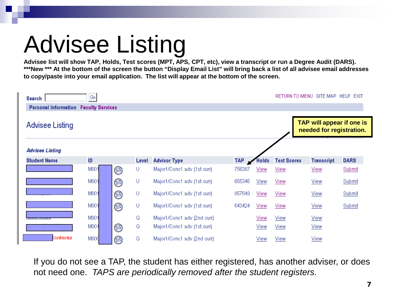# Advisee Listing

**Advisee list will show TAP, Holds, Test scores (MPT, APS, CPT, etc), view a transcript or run a Degree Audit (DARS). \*\*\*New \*\*\* At the bottom of the screen the button "Display Email List" will bring back a list of all advisee email addresses to copy/paste into your email application. The list will appear at the bottom of the screen.**

| Search                      | Go                      |   |       |                             |            |       |                    | RETURN TO MENU SITE MAP HELP                          | EXIT        |
|-----------------------------|-------------------------|---|-------|-----------------------------|------------|-------|--------------------|-------------------------------------------------------|-------------|
| <b>Personal Information</b> | <b>Faculty Services</b> |   |       |                             |            |       |                    |                                                       |             |
| Advisee Listing             |                         |   |       |                             |            |       |                    | TAP will appear if one is<br>needed for registration. |             |
| <b>Advisee Listing</b>      |                         |   |       |                             |            |       |                    |                                                       |             |
| <b>Student Name</b>         | ID.                     |   | Level | <b>Advisor Type</b>         | <b>TAP</b> | Holds | <b>Test Scores</b> | <b>Transcript</b>                                     | <b>DARS</b> |
|                             | M00                     | ◙ | U     | Major1/Conc1 adv (1st curr) | 756387     | View  | View               | <b>View</b>                                           | Submit      |
|                             | M001                    | ◙ | U     | Major1/Conc1 adv (1st curr) | 655346     | View  | View               | View                                                  | Submit      |
|                             | M001                    | ◙ | U     | Major1/Conc1 adv (1st curr) | 857649     | View  | View               | View                                                  | Submit      |
|                             | M001                    | ◙ | U     | Major1/Conc1 adv (1st curr) | 643424     | View  | View               | View                                                  | Submit      |
|                             | M001                    |   | G     | Major1/Conc1 adv (2nd curr) |            | View  | View               | View                                                  |             |
|                             | M001                    | ◙ | G     | Major1/Conc1 adv (1st curr) |            | View  | View               | View                                                  |             |
| Confidential                | MOOC                    | ◙ | G     | Major1/Conc1 adv (2nd curr) |            | View  | View               | View                                                  |             |

If you do not see a TAP, the student has either registered, has another adviser, or does not need one. *TAPS are periodically removed after the student registers.*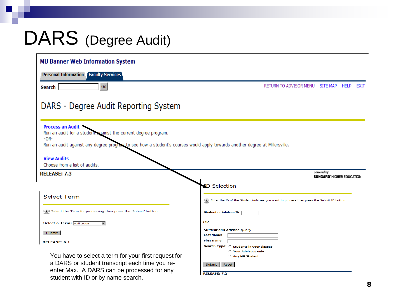## DARS (Degree Audit)

| <b>MU Banner Web Information System</b>                                                                                                                                                                                                                                           |                                                                                              |
|-----------------------------------------------------------------------------------------------------------------------------------------------------------------------------------------------------------------------------------------------------------------------------------|----------------------------------------------------------------------------------------------|
| <b>Personal Information Faculty Services</b>                                                                                                                                                                                                                                      |                                                                                              |
| Go<br>Search                                                                                                                                                                                                                                                                      | RETURN TO ADVISOR MENU<br>SITE MAP<br><b>HELP</b><br>EXIT                                    |
| DARS - Degree Audit Reporting System                                                                                                                                                                                                                                              |                                                                                              |
| Process an Audit<br>Run an audit for a student sgainst the current degree program.<br>$-OR-$<br>Run an audit against any degree program to see how a student's courses would apply towards another degree at Millersville.<br><b>View Audits</b><br>Choose from a list of audits. |                                                                                              |
| <b>RELEASE: 7.3</b>                                                                                                                                                                                                                                                               | powered by<br><b>SUNGARD' HIGHER EDUCATION</b>                                               |
|                                                                                                                                                                                                                                                                                   | <b>ID Selection</b>                                                                          |
| <b>Select Term</b>                                                                                                                                                                                                                                                                | (i) Enter the ID of the Student/Advisee you want to process then press the Submit ID button. |
| Select the Term for processing then press the 'Submit' button.                                                                                                                                                                                                                    | <b>Student or Advisee ID:</b>                                                                |
| Select a Term: Fall 2008<br>$\overline{\phantom{a}}$                                                                                                                                                                                                                              | <b>OR</b>                                                                                    |
| Submit                                                                                                                                                                                                                                                                            | <b>Student and Advisee Query</b><br><b>Last Name:</b>                                        |
| <b>RELEASE: 6.1</b>                                                                                                                                                                                                                                                               | <b>First Name:</b>                                                                           |
|                                                                                                                                                                                                                                                                                   | Search Type: C students in your classes<br><b>C</b> Your Advisees only                       |
| You have to select a term for your first request for                                                                                                                                                                                                                              | <b>6 Any MU Student</b>                                                                      |
| a DARS or student transcript each time you re-                                                                                                                                                                                                                                    | Reset<br>Submit                                                                              |
| enter Max. A DARS can be processed for any                                                                                                                                                                                                                                        | <b>RELEASE: 7.2</b>                                                                          |
| student with ID or by name search.                                                                                                                                                                                                                                                |                                                                                              |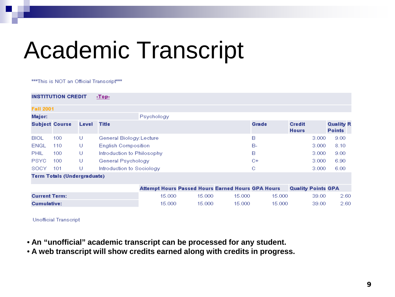# Academic Transcript

\*\*\* This is NOT an Official Transcript \*\*\*

|                      | <b>INSTITUTION CREDIT</b>          |       | $-Top-$                    |                                                          |        |        |        |                               |                                   |
|----------------------|------------------------------------|-------|----------------------------|----------------------------------------------------------|--------|--------|--------|-------------------------------|-----------------------------------|
| <b>Fall 2001</b>     |                                    |       |                            |                                                          |        |        |        |                               |                                   |
| Major:               |                                    |       |                            | Psychology                                               |        |        |        |                               |                                   |
|                      | <b>Subject Course</b>              | Level | <b>Title</b>               |                                                          |        |        | Grade  | <b>Credit</b><br><b>Hours</b> | <b>Quality R</b><br><b>Points</b> |
| <b>BIOL</b>          | 100                                | U     | General Biology:Lecture    |                                                          |        |        | в      | 3.000                         | 9.00                              |
| ENGL                 | 110                                | U     | <b>English Composition</b> |                                                          |        |        | В-     | 3.000                         | 8.10                              |
| PHIL                 | 100                                | U     | Introduction to Philosophy |                                                          |        |        | в      | 3.000                         | 9.00                              |
| <b>PSYC</b>          | 100                                | U     | General Psychology         |                                                          |        |        | C+     | 3.000                         | 6.90                              |
| SOCY.                | 101                                | U     | Introduction to Sociology  |                                                          |        |        | С      | 3.000                         | 6.00                              |
|                      | <b>Term Totals (Undergraduate)</b> |       |                            |                                                          |        |        |        |                               |                                   |
|                      |                                    |       |                            | <b>Attempt Hours Passed Hours Earned Hours GPA Hours</b> |        |        |        | <b>Quality Points GPA</b>     |                                   |
| <b>Current Term:</b> |                                    |       |                            | 15.000                                                   | 15.000 | 15,000 | 15.000 | 39.00                         | 2.60                              |
| <b>Cumulative:</b>   |                                    |       |                            | 15,000                                                   | 15,000 | 15,000 | 15,000 | 39.00                         | 2.60                              |

**Unofficial Transcript** 

- **An "unofficial" academic transcript can be processed for any student.**
- **A web transcript will show credits earned along with credits in progress.**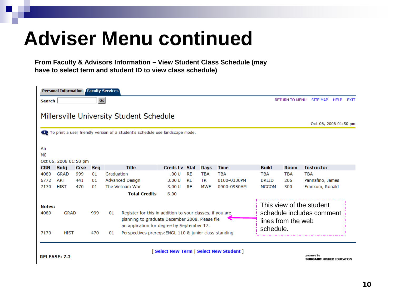# **Adviser Menu continued**

**From Faculty & Advisors Information – View Student Class Schedule (may have to select term and student ID to view class schedule)**

|                                                                                                                                                                                                                 | <b>Personal Information</b> |             |            | <b>Faculty Services</b>                                                                                                  |                                         |           |             |             |              |                    |                                                       |             |             |
|-----------------------------------------------------------------------------------------------------------------------------------------------------------------------------------------------------------------|-----------------------------|-------------|------------|--------------------------------------------------------------------------------------------------------------------------|-----------------------------------------|-----------|-------------|-------------|--------------|--------------------|-------------------------------------------------------|-------------|-------------|
| Search                                                                                                                                                                                                          |                             |             | Go         |                                                                                                                          |                                         |           |             |             |              |                    | RETURN TO MENU SITE MAP                               | <b>HELP</b> | <b>FXIT</b> |
|                                                                                                                                                                                                                 |                             |             |            | Millersville University Student Schedule<br>To print a user friendly version of a student's schedule use landscape mode. |                                         |           |             |             |              |                    | Oct 06, 2008 01:50 pm                                 |             |             |
| An<br>M <sub>0</sub>                                                                                                                                                                                            | Oct 06, 2008 01:50 pm       |             |            |                                                                                                                          |                                         |           |             |             |              |                    |                                                       |             |             |
| <b>CRN</b>                                                                                                                                                                                                      | Subj                        | <b>Crse</b> | <b>Seq</b> | <b>Title</b>                                                                                                             | <b>Creds Lv Stat</b>                    |           | <b>Days</b> | <b>Time</b> | <b>Build</b> | <b>Room</b>        | <b>Instructor</b>                                     |             |             |
| 4080                                                                                                                                                                                                            | <b>GRAD</b>                 | 999         | 01         | Graduation                                                                                                               | .00U                                    | <b>RE</b> | <b>TBA</b>  | <b>TBA</b>  | <b>TBA</b>   | <b>TBA</b>         | <b>TBA</b>                                            |             |             |
| 6772                                                                                                                                                                                                            | <b>ART</b>                  | 441         | 01         | Advanced Design                                                                                                          | 3.00U                                   | <b>RE</b> | TR.         | 0100-0330PM | <b>BREID</b> | 206                | Pannafino, James                                      |             |             |
| 7170                                                                                                                                                                                                            | <b>HIST</b>                 | 470         | 01         | The Vietnam War                                                                                                          | 3.00U                                   | <b>RE</b> | <b>MWF</b>  | 0900-0950AM | <b>MCCOM</b> | 300                | Frankum, Ronald                                       |             |             |
|                                                                                                                                                                                                                 |                             |             |            | <b>Total Credits</b>                                                                                                     | 6.00                                    |           |             |             |              |                    |                                                       |             |             |
| <b>Notes:</b><br>Register for this in addition to your classes, if you are<br>4080<br><b>GRAD</b><br>999<br>01<br>planning to graduate December 2008. Please file<br>an application for degree by September 17. |                             |             |            |                                                                                                                          |                                         |           |             |             | schedule.    | lines from the web | This view of the student<br>schedule includes comment |             |             |
| 7170                                                                                                                                                                                                            | <b>HIST</b>                 |             | 470        | Perspectives prereqs: ENGL 110 & junior class standing<br>01                                                             |                                         |           |             |             |              |                    |                                                       |             |             |
|                                                                                                                                                                                                                 | <b>RELEASE: 7.2</b>         |             |            |                                                                                                                          | [Select New Term   Select New Student ] |           |             |             |              |                    | powered by<br><b>SUNGARD' HIGHER EDUCATION</b>        |             |             |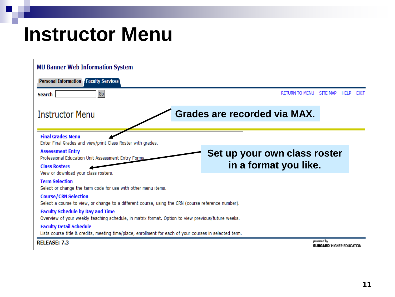## **Instructor Menu**

| <b>MU Banner Web Information System</b>                                                                                                       |                              |                                                |      |
|-----------------------------------------------------------------------------------------------------------------------------------------------|------------------------------|------------------------------------------------|------|
| <b>Personal Information Faculty Services</b>                                                                                                  |                              |                                                |      |
| Go<br>Search                                                                                                                                  | <b>RETURN TO MENU</b>        | <b>SITE MAP</b><br><b>HELP</b>                 | EXIT |
| <b>Instructor Menu</b>                                                                                                                        | Grades are recorded via MAX. |                                                |      |
| <b>Final Grades Menu</b><br>Enter Final Grades and view/print Class Roster with grades.                                                       |                              |                                                |      |
| <b>Assessment Entry</b><br>Professional Education Unit Assessment Entry Forms                                                                 | Set up your own class roster |                                                |      |
| <b>Class Rosters</b><br>View or download your class rosters.                                                                                  | in a format you like.        |                                                |      |
| <b>Term Selection</b><br>Select or change the term code for use with other menu items.                                                        |                              |                                                |      |
| <b>Course/CRN Selection</b><br>Select a course to view, or change to a different course, using the CRN (course reference number).             |                              |                                                |      |
| <b>Faculty Schedule by Day and Time</b><br>Overview of your weekly teaching schedule, in matrix format. Option to view previous/future weeks. |                              |                                                |      |
| <b>Faculty Detail Schedule</b><br>Lists course title & credits, meeting time/place, enrollment for each of your courses in selected term.     |                              |                                                |      |
| <b>RELEASE: 7.3</b>                                                                                                                           |                              | powered by<br><b>SUNGARD' HIGHER EDUCATION</b> |      |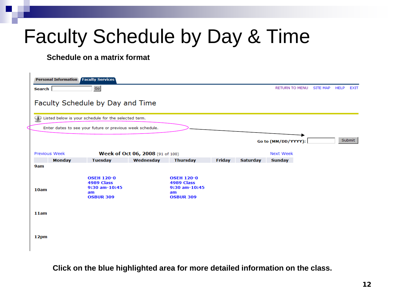# Faculty Schedule by Day & Time

#### **Schedule on a matrix format**

|               | <b>Personal Information Faculty Services</b>                               |                                  |                                                                                 |        |                 |                       |          |                            |
|---------------|----------------------------------------------------------------------------|----------------------------------|---------------------------------------------------------------------------------|--------|-----------------|-----------------------|----------|----------------------------|
| <b>Search</b> | Go                                                                         |                                  |                                                                                 |        |                 | <b>RETURN TO MENU</b> | SITE MAP | <b>HELP</b><br><b>EXIT</b> |
|               | Faculty Schedule by Day and Time                                           |                                  |                                                                                 |        |                 |                       |          |                            |
|               | Listed below is your schedule for the selected term.                       |                                  |                                                                                 |        |                 |                       |          |                            |
|               | Enter dates to see your future or previous week schedule.                  |                                  |                                                                                 |        |                 |                       |          |                            |
|               |                                                                            |                                  |                                                                                 |        |                 | Go to (MM/DD/YYYY):   |          | Submit                     |
| Previous Week |                                                                            | Week of Oct 06, 2008 (91 of 100) |                                                                                 |        |                 | <b>Next Week</b>      |          |                            |
| <b>Monday</b> | <b>Tuesday</b>                                                             | Wednesday                        | <b>Thursday</b>                                                                 | Friday | <b>Saturday</b> | Sunday                |          |                            |
| 9am           |                                                                            |                                  |                                                                                 |        |                 |                       |          |                            |
| 10am          | <b>OSEH 120-0</b><br>4989 Class<br>9:30 am-10:45<br>am<br><b>OSBUR 309</b> |                                  | <b>OSEH 120-0</b><br>4989 Class<br>$9:30$ am- $10:45$<br>am<br><b>OSBUR 309</b> |        |                 |                       |          |                            |
| 11am          |                                                                            |                                  |                                                                                 |        |                 |                       |          |                            |
| 12pm          |                                                                            |                                  |                                                                                 |        |                 |                       |          |                            |

**Click on the blue highlighted area for more detailed information on the class.**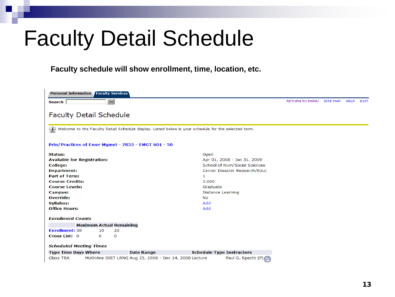# Faculty Detail Schedule

#### **Faculty schedule will show enrollment, time, location, etc.**

| <b>Personal Information</b><br><b>Faculty Services</b>                                                   |                                                        |                                  |                       |                 |             |             |  |  |  |
|----------------------------------------------------------------------------------------------------------|--------------------------------------------------------|----------------------------------|-----------------------|-----------------|-------------|-------------|--|--|--|
| ${\sf Go}$<br>Search                                                                                     |                                                        |                                  | <b>RETURN TO MENU</b> | <b>SITE MAP</b> | <b>HELP</b> | <b>EXIT</b> |  |  |  |
| <b>Faculty Detail Schedule</b>                                                                           |                                                        |                                  |                       |                 |             |             |  |  |  |
| (i) Welcome to the Faculty Detail Schedule display. Listed below is your schedule for the selected term. |                                                        |                                  |                       |                 |             |             |  |  |  |
| Prin/Practices of Emer Mgmnt - 7833 - EMGT 601 - 50                                                      |                                                        |                                  |                       |                 |             |             |  |  |  |
| Status:                                                                                                  |                                                        | Open                             |                       |                 |             |             |  |  |  |
| <b>Available for Registration:</b>                                                                       |                                                        | Apr 01, 2008 - Jan 31, 2009      |                       |                 |             |             |  |  |  |
| <b>College:</b>                                                                                          | School of Hum/Social Sciences                          |                                  |                       |                 |             |             |  |  |  |
| <b>Department:</b>                                                                                       |                                                        | Center Disaster Research/Educ    |                       |                 |             |             |  |  |  |
| <b>Part of Term:</b>                                                                                     | 1                                                      |                                  |                       |                 |             |             |  |  |  |
| <b>Course Credits:</b><br><b>Course Levels:</b>                                                          |                                                        | 3.000<br>Graduate                |                       |                 |             |             |  |  |  |
| <b>Campus:</b>                                                                                           |                                                        | <b>Distance Learning</b>         |                       |                 |             |             |  |  |  |
| <b>Override:</b>                                                                                         |                                                        | <b>No</b>                        |                       |                 |             |             |  |  |  |
| <b>Syllabus:</b>                                                                                         |                                                        | Add                              |                       |                 |             |             |  |  |  |
| <b>Office Hours:</b>                                                                                     |                                                        | Add                              |                       |                 |             |             |  |  |  |
| <b>Enrollment Counts</b>                                                                                 |                                                        |                                  |                       |                 |             |             |  |  |  |
| <b>Maximum Actual Remaining</b>                                                                          |                                                        |                                  |                       |                 |             |             |  |  |  |
| <b>Enrollment: 30</b><br>20<br>10                                                                        |                                                        |                                  |                       |                 |             |             |  |  |  |
| Cross List: 0<br>0<br>0                                                                                  |                                                        |                                  |                       |                 |             |             |  |  |  |
| <b>Scheduled Meeting Times</b>                                                                           |                                                        |                                  |                       |                 |             |             |  |  |  |
| <b>Type Time Days Where</b>                                                                              | <b>Date Range</b>                                      | <b>Schedule Type Instructors</b> |                       |                 |             |             |  |  |  |
| <b>Class TBA</b>                                                                                         | MUOnline DIST LRNG Aug 25, 2008 - Dec 14, 2008 Lecture | Paul G. Specht (P)               |                       |                 |             |             |  |  |  |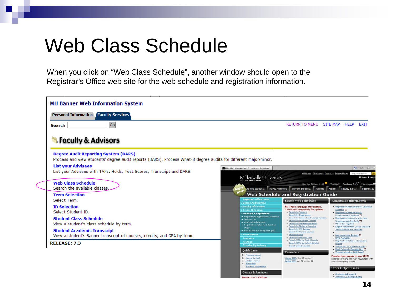## Web Class Schedule

When you click on "Web Class Schedule", another window should open to the Registrar's Office web site for the web schedule and registration information.

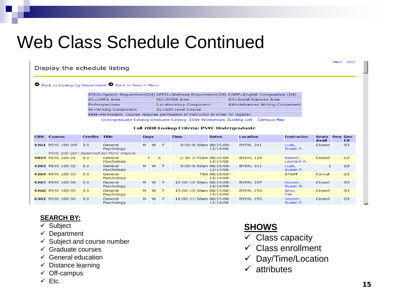## Web Class Schedule Continued

|            | Display the schedule listing |                |                                                  |             |                                                                                         |              |                               |                   |    |  |  |
|------------|------------------------------|----------------|--------------------------------------------------|-------------|-----------------------------------------------------------------------------------------|--------------|-------------------------------|-------------------|----|--|--|
|            |                              |                | Back to Lookup by Department Back to Search Menu |             |                                                                                         |              |                               |                   |    |  |  |
|            |                              |                |                                                  |             | SPCH=Speech Requirement(G4) HPED=Wellness Requirement(G4) COMP=English Composition (G4) |              |                               |                   |    |  |  |
|            |                              |                | <b>G1=HMFA Area</b>                              |             | G2=SCMA Area                                                                            |              | G3=Social Sciences Area       |                   |    |  |  |
|            |                              |                | P=Perspectives                                   |             | L=Laboratory Component                                                                  |              | AW=Advanced Writing Component |                   |    |  |  |
|            |                              |                | W=Writing Component                              |             | 2L=200 Level Course                                                                     |              |                               |                   |    |  |  |
|            |                              |                |                                                  |             | PRM=Permission. Course requires permission of instructor in order to register.          |              |                               |                   |    |  |  |
|            |                              |                |                                                  |             | Undergraduate Catalog Graduate Catalog EDW Workshops Building List Campus Map           |              |                               |                   |    |  |  |
|            |                              |                |                                                  |             | <b>Fall 2008 Lookup Criteria: PSYC Undergraduate</b>                                    |              |                               |                   |    |  |  |
| <b>CRN</b> | <b>Course</b>                | <b>Credits</b> | Title                                            | <b>Days</b> | <b>Time</b>                                                                             | <b>Dates</b> | <b>Location</b>               | <b>Instructor</b> | S. |  |  |

| <b>CRN</b>                             | <b>Course</b>     | <b>Credits</b> | <b>Title</b>          | <b>Days</b> |          |     | <b>Time</b>             | <b>Dates</b>              | <b>Location</b>  | <b>Instructor</b>      | <b>Seats</b><br><b>Avail</b> | <b>Prm Gen</b> | Ed             |
|----------------------------------------|-------------------|----------------|-----------------------|-------------|----------|-----|-------------------------|---------------------------|------------------|------------------------|------------------------------|----------------|----------------|
|                                        | 4261 PSYC 100 00F | 3.0            | General<br>Psychology | м           | W        | - F | 8:00-8:50am 08/25/08-   | 12/14/08                  | BYERL 241        | Luek,<br>Susan P.      | <b>Closed</b>                |                | G <sub>3</sub> |
| PSYC 100 00F: Reserved for PSYC majors |                   |                |                       |             |          |     |                         |                           |                  |                        |                              |                |                |
|                                        | 4854 PSYC 100 01  | 3.0            | General<br>Psychology |             | T.       | R   | 2:30-3:45pm 08/25/08-   | 12/14/08                  | <b>BYERL 125</b> | Eiserer,<br>Leonard A. | <b>Closed</b>                |                | G <sub>3</sub> |
|                                        | 4263 PSYC 100 02  | 3.0            | General<br>Psychology | м           | <b>W</b> | - F | 9:00-9:50am 08/25/08-   | 12/14/08                  | BYERL 241        | Luek,<br>Susan P.      | 2                            |                | G <sub>3</sub> |
|                                        | 4264 PSYC 100 03  | 3.0            | General<br>Psychology |             |          |     |                         | TBA 08/25/08-<br>12/14/08 |                  | <b>STAFF</b>           | Cancel                       |                | G <sub>3</sub> |
|                                        | 4265 PSYC 100 04  | 3.0            | General<br>Psychology | M           | <b>W</b> | - F | 10:00-10:50am 08/25/08- | 12/14/08                  | BYERL 207        | Hoover,<br>Susan E.    | Closed                       |                | G3             |
|                                        | 4266 PSYC 100 05  | 3.0            | General<br>Psychology | M           | <b>W</b> | - F | 10:00-10:50am 08/25/08- | 12/14/08                  | BYERL 255        | Woo.<br>Tae            | <b>Closed</b>                |                | G <sub>3</sub> |
|                                        | 6302 PSYC 100 06  | 3.0            | General<br>Psychology | м           | <b>W</b> | - F | 11:00-11:50am 08/25/08- | 12/14/08                  | BYERL 255        | Hoover.<br>Susan E.    | Closed                       |                | G <sub>3</sub> |

#### **SEARCH BY:**

- $\checkmark$  Subject
- $\checkmark$  Department
- $\checkmark$  Subject and course number
- $\checkmark$  Graduate courses
- $\checkmark$  General education
- $\checkmark$  Distance learning
- $\checkmark$  Off-campus
- $\times$  Etc.

## **SHOWS**

- $\checkmark$  Class capacity
- $\checkmark$  Class enrollment
- $\checkmark$  Day/Time/Location
- $\checkmark$  attributes

HELP EXIT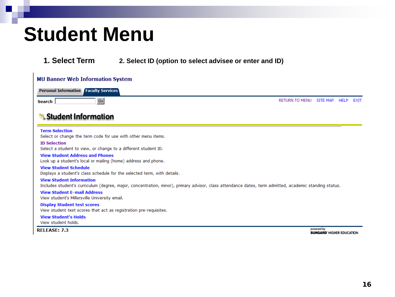## **Student Menu**

**1. Select Term 2. Select ID (option to select advisee or enter and ID)**

| <b>MU Banner Web Information System</b>                                                                                                                                                   |                       |                 |             |             |  |
|-------------------------------------------------------------------------------------------------------------------------------------------------------------------------------------------|-----------------------|-----------------|-------------|-------------|--|
| <b>Personal Information Faculty Services</b>                                                                                                                                              |                       |                 |             |             |  |
| Go<br>Search                                                                                                                                                                              | <b>RETURN TO MENU</b> | <b>SITE MAP</b> | <b>HELP</b> | <b>EXIT</b> |  |
| Student Information                                                                                                                                                                       |                       |                 |             |             |  |
| <b>Term Selection</b><br>Select or change the term code for use with other menu items.                                                                                                    |                       |                 |             |             |  |
| <b>ID Selection</b><br>Select a student to view, or change to a different student ID.                                                                                                     |                       |                 |             |             |  |
| <b>View Student Address and Phones</b><br>Look up a student's local or mailing (home) address and phone.                                                                                  |                       |                 |             |             |  |
| <b>View Student Schedule</b><br>Displays a student's class schedule for the selected term, with details.                                                                                  |                       |                 |             |             |  |
| <b>View Student Information</b><br>Includes student's curriculum (degree, major, concentration, minor), primary advisor, class attendance dates, term admitted, academic standing status. |                       |                 |             |             |  |
| <b>View Student E-mail Address</b><br>View student's Millersville University email.                                                                                                       |                       |                 |             |             |  |
| <b>Display Student test scores</b><br>View student test scores that act as registration pre-requisites.                                                                                   |                       |                 |             |             |  |
| <b>View Student's Holds</b><br>View student holds.                                                                                                                                        |                       | $-11.7$         |             |             |  |

**RELEASE: 7.3** 

powered by **SUNGARD' HIGHER EDUCATION**